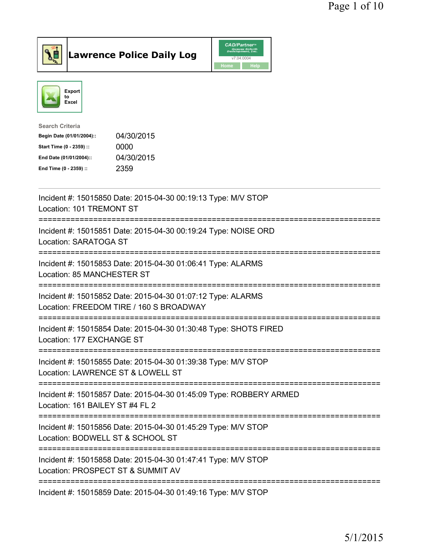



| <b>Search Criteria</b>    |            |
|---------------------------|------------|
| Begin Date (01/01/2004):: | 04/30/2015 |
| Start Time (0 - 2359) ::  | 0000       |
| End Date (01/01/2004)::   | 04/30/2015 |
| End Time (0 - 2359) ::    | 2359       |
|                           |            |

| Incident #: 15015850 Date: 2015-04-30 00:19:13 Type: M/V STOP<br>Location: 101 TREMONT ST                                                                           |
|---------------------------------------------------------------------------------------------------------------------------------------------------------------------|
| Incident #: 15015851 Date: 2015-04-30 00:19:24 Type: NOISE ORD<br>Location: SARATOGA ST<br>-------------                                                            |
| Incident #: 15015853 Date: 2015-04-30 01:06:41 Type: ALARMS<br>Location: 85 MANCHESTER ST                                                                           |
| Incident #: 15015852 Date: 2015-04-30 01:07:12 Type: ALARMS<br>Location: FREEDOM TIRE / 160 S BROADWAY<br>:==============================<br>---------------------- |
| Incident #: 15015854 Date: 2015-04-30 01:30:48 Type: SHOTS FIRED<br>Location: 177 EXCHANGE ST                                                                       |
| Incident #: 15015855 Date: 2015-04-30 01:39:38 Type: M/V STOP<br>Location: LAWRENCE ST & LOWELL ST<br>;===========================                                  |
| Incident #: 15015857 Date: 2015-04-30 01:45:09 Type: ROBBERY ARMED<br>Location: 161 BAILEY ST #4 FL 2                                                               |
| Incident #: 15015856 Date: 2015-04-30 01:45:29 Type: M/V STOP<br>Location: BODWELL ST & SCHOOL ST                                                                   |
| Incident #: 15015858 Date: 2015-04-30 01:47:41 Type: M/V STOP<br>Location: PROSPECT ST & SUMMIT AV                                                                  |
| Incident #: 15015859 Date: 2015-04-30 01:49:16 Type: M/V STOP                                                                                                       |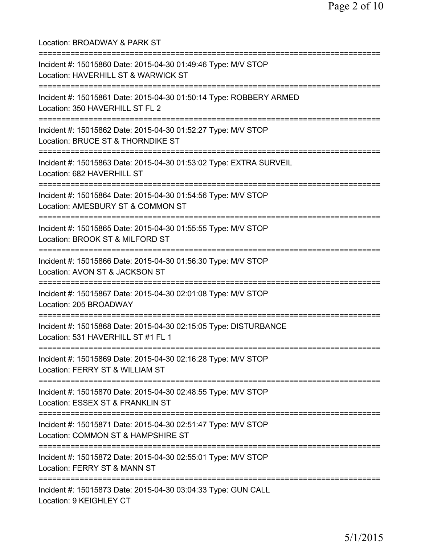Location: BROADWAY & PARK ST =========================================================================== Incident #: 15015860 Date: 2015-04-30 01:49:46 Type: M/V STOP Location: HAVERHILL ST & WARWICK ST =========================================================================== Incident #: 15015861 Date: 2015-04-30 01:50:14 Type: ROBBERY ARMED Location: 350 HAVERHILL ST FL 2 =========================================================================== Incident #: 15015862 Date: 2015-04-30 01:52:27 Type: M/V STOP Location: BRUCE ST & THORNDIKE ST =========================================================================== Incident #: 15015863 Date: 2015-04-30 01:53:02 Type: EXTRA SURVEIL Location: 682 HAVERHILL ST =========================================================================== Incident #: 15015864 Date: 2015-04-30 01:54:56 Type: M/V STOP Location: AMESBURY ST & COMMON ST =========================================================================== Incident #: 15015865 Date: 2015-04-30 01:55:55 Type: M/V STOP Location: BROOK ST & MILFORD ST =========================================================================== Incident #: 15015866 Date: 2015-04-30 01:56:30 Type: M/V STOP Location: AVON ST & JACKSON ST =========================================================================== Incident #: 15015867 Date: 2015-04-30 02:01:08 Type: M/V STOP Location: 205 BROADWAY =========================================================================== Incident #: 15015868 Date: 2015-04-30 02:15:05 Type: DISTURBANCE Location: 531 HAVERHILL ST #1 FL 1 =========================================================================== Incident #: 15015869 Date: 2015-04-30 02:16:28 Type: M/V STOP Location: FERRY ST & WILLIAM ST =========================================================================== Incident #: 15015870 Date: 2015-04-30 02:48:55 Type: M/V STOP Location: ESSEX ST & FRANKLIN ST =========================================================================== Incident #: 15015871 Date: 2015-04-30 02:51:47 Type: M/V STOP Location: COMMON ST & HAMPSHIRE ST =========================================================================== Incident #: 15015872 Date: 2015-04-30 02:55:01 Type: M/V STOP Location: FERRY ST & MANN ST =========================================================================== Incident #: 15015873 Date: 2015-04-30 03:04:33 Type: GUN CALL Location: 9 KEIGHLEY CT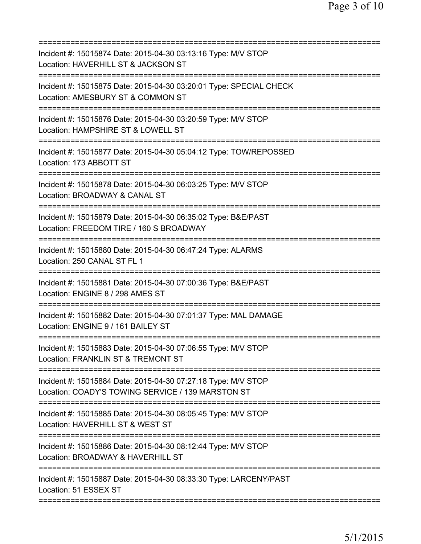| Incident #: 15015874 Date: 2015-04-30 03:13:16 Type: M/V STOP<br>Location: HAVERHILL ST & JACKSON ST                                              |
|---------------------------------------------------------------------------------------------------------------------------------------------------|
| Incident #: 15015875 Date: 2015-04-30 03:20:01 Type: SPECIAL CHECK<br>Location: AMESBURY ST & COMMON ST                                           |
| Incident #: 15015876 Date: 2015-04-30 03:20:59 Type: M/V STOP<br>Location: HAMPSHIRE ST & LOWELL ST                                               |
| Incident #: 15015877 Date: 2015-04-30 05:04:12 Type: TOW/REPOSSED<br>Location: 173 ABBOTT ST                                                      |
| Incident #: 15015878 Date: 2015-04-30 06:03:25 Type: M/V STOP<br>Location: BROADWAY & CANAL ST                                                    |
| Incident #: 15015879 Date: 2015-04-30 06:35:02 Type: B&E/PAST<br>Location: FREEDOM TIRE / 160 S BROADWAY                                          |
| Incident #: 15015880 Date: 2015-04-30 06:47:24 Type: ALARMS<br>Location: 250 CANAL ST FL 1                                                        |
| Incident #: 15015881 Date: 2015-04-30 07:00:36 Type: B&E/PAST<br>Location: ENGINE 8 / 298 AMES ST                                                 |
| Incident #: 15015882 Date: 2015-04-30 07:01:37 Type: MAL DAMAGE<br>Location: ENGINE 9 / 161 BAILEY ST                                             |
| Incident #: 15015883 Date: 2015-04-30 07:06:55 Type: M/V STOP<br>Location: FRANKLIN ST & TREMONT ST                                               |
| ===========================<br>Incident #: 15015884 Date: 2015-04-30 07:27:18 Type: M/V STOP<br>Location: COADY'S TOWING SERVICE / 139 MARSTON ST |
| Incident #: 15015885 Date: 2015-04-30 08:05:45 Type: M/V STOP<br>Location: HAVERHILL ST & WEST ST                                                 |
| Incident #: 15015886 Date: 2015-04-30 08:12:44 Type: M/V STOP<br>Location: BROADWAY & HAVERHILL ST                                                |
| Incident #: 15015887 Date: 2015-04-30 08:33:30 Type: LARCENY/PAST<br>Location: 51 ESSEX ST                                                        |
|                                                                                                                                                   |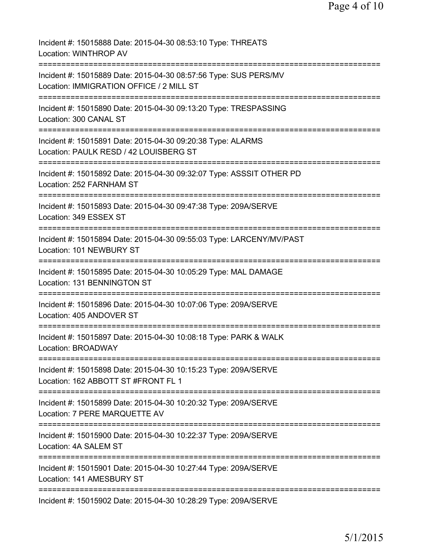| Incident #: 15015888 Date: 2015-04-30 08:53:10 Type: THREATS<br>Location: WINTHROP AV                                               |
|-------------------------------------------------------------------------------------------------------------------------------------|
| Incident #: 15015889 Date: 2015-04-30 08:57:56 Type: SUS PERS/MV<br>Location: IMMIGRATION OFFICE / 2 MILL ST                        |
| Incident #: 15015890 Date: 2015-04-30 09:13:20 Type: TRESPASSING<br>Location: 300 CANAL ST                                          |
| Incident #: 15015891 Date: 2015-04-30 09:20:38 Type: ALARMS<br>Location: PAULK RESD / 42 LOUISBERG ST<br>;=======================   |
| Incident #: 15015892 Date: 2015-04-30 09:32:07 Type: ASSSIT OTHER PD<br>Location: 252 FARNHAM ST                                    |
| Incident #: 15015893 Date: 2015-04-30 09:47:38 Type: 209A/SERVE<br>Location: 349 ESSEX ST                                           |
| Incident #: 15015894 Date: 2015-04-30 09:55:03 Type: LARCENY/MV/PAST<br>Location: 101 NEWBURY ST                                    |
| Incident #: 15015895 Date: 2015-04-30 10:05:29 Type: MAL DAMAGE<br>Location: 131 BENNINGTON ST                                      |
| Incident #: 15015896 Date: 2015-04-30 10:07:06 Type: 209A/SERVE<br>Location: 405 ANDOVER ST                                         |
| Incident #: 15015897 Date: 2015-04-30 10:08:18 Type: PARK & WALK<br>Location: BROADWAY                                              |
| =========================<br>Incident #: 15015898 Date: 2015-04-30 10:15:23 Type: 209A/SERVE<br>Location: 162 ABBOTT ST #FRONT FL 1 |
| Incident #: 15015899 Date: 2015-04-30 10:20:32 Type: 209A/SERVE<br>Location: 7 PERE MARQUETTE AV                                    |
| ==========================<br>Incident #: 15015900 Date: 2015-04-30 10:22:37 Type: 209A/SERVE<br>Location: 4A SALEM ST              |
| Incident #: 15015901 Date: 2015-04-30 10:27:44 Type: 209A/SERVE<br>Location: 141 AMESBURY ST                                        |
| Incident #: 15015902 Date: 2015-04-30 10:28:29 Type: 209A/SERVE                                                                     |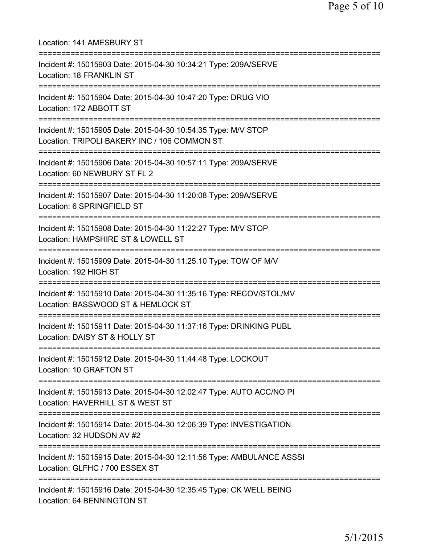Location: 141 AMESBURY ST =========================================================================== Incident #: 15015903 Date: 2015-04-30 10:34:21 Type: 209A/SERVE Location: 18 FRANKLIN ST =========================================================================== Incident #: 15015904 Date: 2015-04-30 10:47:20 Type: DRUG VIO Location: 172 ABBOTT ST =========================================================================== Incident #: 15015905 Date: 2015-04-30 10:54:35 Type: M/V STOP Location: TRIPOLI BAKERY INC / 106 COMMON ST =========================================================================== Incident #: 15015906 Date: 2015-04-30 10:57:11 Type: 209A/SERVE Location: 60 NEWBURY ST FL 2 =========================================================================== Incident #: 15015907 Date: 2015-04-30 11:20:08 Type: 209A/SERVE Location: 6 SPRINGFIELD ST =========================================================================== Incident #: 15015908 Date: 2015-04-30 11:22:27 Type: M/V STOP Location: HAMPSHIRE ST & LOWELL ST =========================================================================== Incident #: 15015909 Date: 2015-04-30 11:25:10 Type: TOW OF M/V Location: 192 HIGH ST =========================================================================== Incident #: 15015910 Date: 2015-04-30 11:35:16 Type: RECOV/STOL/MV Location: BASSWOOD ST & HEMLOCK ST =========================================================================== Incident #: 15015911 Date: 2015-04-30 11:37:16 Type: DRINKING PUBL Location: DAISY ST & HOLLY ST =========================================================================== Incident #: 15015912 Date: 2015-04-30 11:44:48 Type: LOCKOUT Location: 10 GRAFTON ST =========================================================================== Incident #: 15015913 Date: 2015-04-30 12:02:47 Type: AUTO ACC/NO PI Location: HAVERHILL ST & WEST ST =========================================================================== Incident #: 15015914 Date: 2015-04-30 12:06:39 Type: INVESTIGATION Location: 32 HUDSON AV #2 =========================================================================== Incident #: 15015915 Date: 2015-04-30 12:11:56 Type: AMBULANCE ASSSI Location: GLFHC / 700 ESSEX ST =========================================================================== Incident #: 15015916 Date: 2015-04-30 12:35:45 Type: CK WELL BEING Location: 64 BENNINGTON ST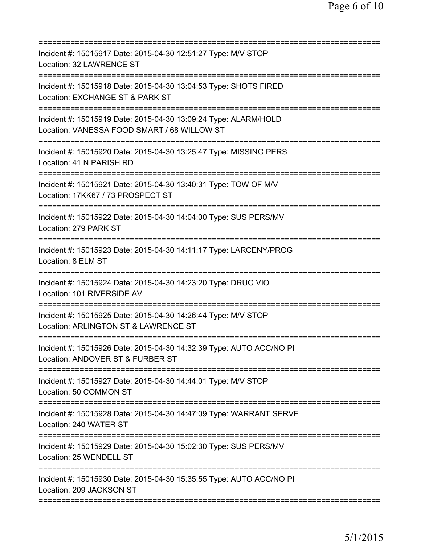| Incident #: 15015917 Date: 2015-04-30 12:51:27 Type: M/V STOP<br>Location: 32 LAWRENCE ST                                                     |
|-----------------------------------------------------------------------------------------------------------------------------------------------|
| Incident #: 15015918 Date: 2015-04-30 13:04:53 Type: SHOTS FIRED<br>Location: EXCHANGE ST & PARK ST                                           |
| Incident #: 15015919 Date: 2015-04-30 13:09:24 Type: ALARM/HOLD<br>Location: VANESSA FOOD SMART / 68 WILLOW ST<br>=========================== |
| Incident #: 15015920 Date: 2015-04-30 13:25:47 Type: MISSING PERS<br>Location: 41 N PARISH RD                                                 |
| Incident #: 15015921 Date: 2015-04-30 13:40:31 Type: TOW OF M/V<br>Location: 17KK67 / 73 PROSPECT ST                                          |
| ==========================<br>Incident #: 15015922 Date: 2015-04-30 14:04:00 Type: SUS PERS/MV<br>Location: 279 PARK ST                       |
| Incident #: 15015923 Date: 2015-04-30 14:11:17 Type: LARCENY/PROG<br>Location: 8 ELM ST<br>============                                       |
| Incident #: 15015924 Date: 2015-04-30 14:23:20 Type: DRUG VIO<br>Location: 101 RIVERSIDE AV                                                   |
| Incident #: 15015925 Date: 2015-04-30 14:26:44 Type: M/V STOP<br>Location: ARLINGTON ST & LAWRENCE ST                                         |
| Incident #: 15015926 Date: 2015-04-30 14:32:39 Type: AUTO ACC/NO PI<br>Location: ANDOVER ST & FURBER ST                                       |
| Incident #: 15015927 Date: 2015-04-30 14:44:01 Type: M/V STOP<br>Location: 50 COMMON ST                                                       |
| Incident #: 15015928 Date: 2015-04-30 14:47:09 Type: WARRANT SERVE<br>Location: 240 WATER ST                                                  |
| Incident #: 15015929 Date: 2015-04-30 15:02:30 Type: SUS PERS/MV<br>Location: 25 WENDELL ST                                                   |
| Incident #: 15015930 Date: 2015-04-30 15:35:55 Type: AUTO ACC/NO PI<br>Location: 209 JACKSON ST                                               |
|                                                                                                                                               |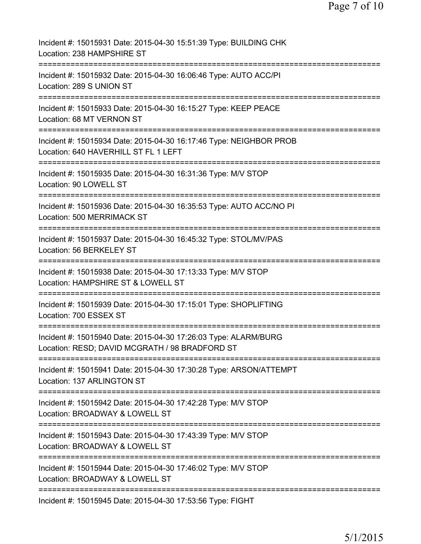| Incident #: 15015931 Date: 2015-04-30 15:51:39 Type: BUILDING CHK<br>Location: 238 HAMPSHIRE ST                                                      |
|------------------------------------------------------------------------------------------------------------------------------------------------------|
| Incident #: 15015932 Date: 2015-04-30 16:06:46 Type: AUTO ACC/PI<br>Location: 289 S UNION ST                                                         |
| Incident #: 15015933 Date: 2015-04-30 16:15:27 Type: KEEP PEACE<br>Location: 68 MT VERNON ST                                                         |
| Incident #: 15015934 Date: 2015-04-30 16:17:46 Type: NEIGHBOR PROB<br>Location: 640 HAVERHILL ST FL 1 LEFT                                           |
| Incident #: 15015935 Date: 2015-04-30 16:31:36 Type: M/V STOP<br>Location: 90 LOWELL ST                                                              |
| Incident #: 15015936 Date: 2015-04-30 16:35:53 Type: AUTO ACC/NO PI<br>Location: 500 MERRIMACK ST<br>==========                                      |
| Incident #: 15015937 Date: 2015-04-30 16:45:32 Type: STOL/MV/PAS<br>Location: 56 BERKELEY ST                                                         |
| Incident #: 15015938 Date: 2015-04-30 17:13:33 Type: M/V STOP<br>Location: HAMPSHIRE ST & LOWELL ST<br>:=======================<br>================= |
| Incident #: 15015939 Date: 2015-04-30 17:15:01 Type: SHOPLIFTING<br>Location: 700 ESSEX ST                                                           |
| Incident #: 15015940 Date: 2015-04-30 17:26:03 Type: ALARM/BURG<br>Location: RESD; DAVID MCGRATH / 98 BRADFORD ST                                    |
| Incident #: 15015941 Date: 2015-04-30 17:30:28 Type: ARSON/ATTEMPT<br>Location: 137 ARLINGTON ST                                                     |
| Incident #: 15015942 Date: 2015-04-30 17:42:28 Type: M/V STOP<br>Location: BROADWAY & LOWELL ST                                                      |
| Incident #: 15015943 Date: 2015-04-30 17:43:39 Type: M/V STOP<br>Location: BROADWAY & LOWELL ST                                                      |
| Incident #: 15015944 Date: 2015-04-30 17:46:02 Type: M/V STOP<br>Location: BROADWAY & LOWELL ST                                                      |
| Incident #: 15015945 Date: 2015-04-30 17:53:56 Type: FIGHT                                                                                           |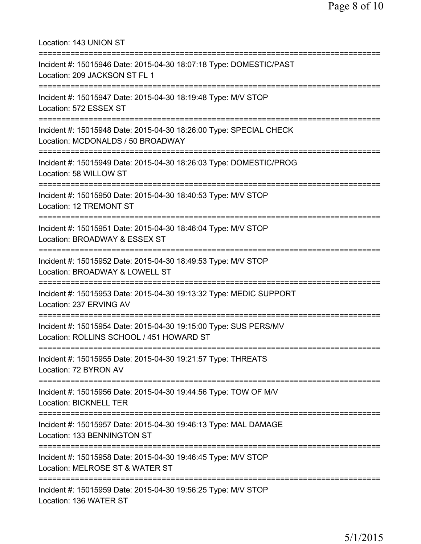Location: 143 UNION ST =========================================================================== Incident #: 15015946 Date: 2015-04-30 18:07:18 Type: DOMESTIC/PAST Location: 209 JACKSON ST FL 1 =========================================================================== Incident #: 15015947 Date: 2015-04-30 18:19:48 Type: M/V STOP Location: 572 ESSEX ST =========================================================================== Incident #: 15015948 Date: 2015-04-30 18:26:00 Type: SPECIAL CHECK Location: MCDONALDS / 50 BROADWAY =========================================================================== Incident #: 15015949 Date: 2015-04-30 18:26:03 Type: DOMESTIC/PROG Location: 58 WILLOW ST =========================================================================== Incident #: 15015950 Date: 2015-04-30 18:40:53 Type: M/V STOP Location: 12 TREMONT ST =========================================================================== Incident #: 15015951 Date: 2015-04-30 18:46:04 Type: M/V STOP Location: BROADWAY & ESSEX ST =========================================================================== Incident #: 15015952 Date: 2015-04-30 18:49:53 Type: M/V STOP Location: BROADWAY & LOWELL ST =========================================================================== Incident #: 15015953 Date: 2015-04-30 19:13:32 Type: MEDIC SUPPORT Location: 237 ERVING AV =========================================================================== Incident #: 15015954 Date: 2015-04-30 19:15:00 Type: SUS PERS/MV Location: ROLLINS SCHOOL / 451 HOWARD ST =========================================================================== Incident #: 15015955 Date: 2015-04-30 19:21:57 Type: THREATS Location: 72 BYRON AV =========================================================================== Incident #: 15015956 Date: 2015-04-30 19:44:56 Type: TOW OF M/V Location: BICKNELL TER =========================================================================== Incident #: 15015957 Date: 2015-04-30 19:46:13 Type: MAL DAMAGE Location: 133 BENNINGTON ST =========================================================================== Incident #: 15015958 Date: 2015-04-30 19:46:45 Type: M/V STOP Location: MELROSE ST & WATER ST =========================================================================== Incident #: 15015959 Date: 2015-04-30 19:56:25 Type: M/V STOP Location: 136 WATER ST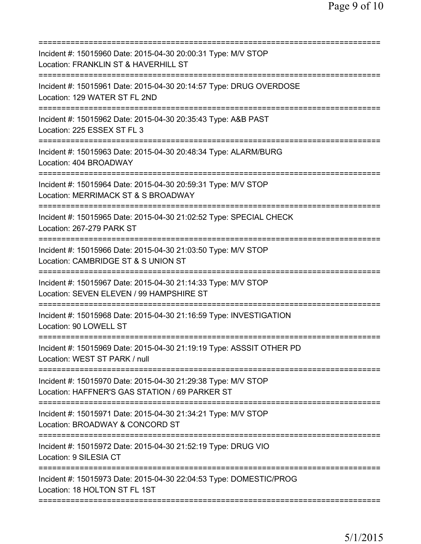| Incident #: 15015960 Date: 2015-04-30 20:00:31 Type: M/V STOP<br>Location: FRANKLIN ST & HAVERHILL ST           |
|-----------------------------------------------------------------------------------------------------------------|
| Incident #: 15015961 Date: 2015-04-30 20:14:57 Type: DRUG OVERDOSE<br>Location: 129 WATER ST FL 2ND             |
| Incident #: 15015962 Date: 2015-04-30 20:35:43 Type: A&B PAST<br>Location: 225 ESSEX ST FL 3                    |
| Incident #: 15015963 Date: 2015-04-30 20:48:34 Type: ALARM/BURG<br>Location: 404 BROADWAY                       |
| Incident #: 15015964 Date: 2015-04-30 20:59:31 Type: M/V STOP<br>Location: MERRIMACK ST & S BROADWAY            |
| Incident #: 15015965 Date: 2015-04-30 21:02:52 Type: SPECIAL CHECK<br>Location: 267-279 PARK ST                 |
| Incident #: 15015966 Date: 2015-04-30 21:03:50 Type: M/V STOP<br>Location: CAMBRIDGE ST & S UNION ST            |
| Incident #: 15015967 Date: 2015-04-30 21:14:33 Type: M/V STOP<br>Location: SEVEN ELEVEN / 99 HAMPSHIRE ST       |
| Incident #: 15015968 Date: 2015-04-30 21:16:59 Type: INVESTIGATION<br>Location: 90 LOWELL ST                    |
| Incident #: 15015969 Date: 2015-04-30 21:19:19 Type: ASSSIT OTHER PD<br>Location: WEST ST PARK / null           |
| Incident #: 15015970 Date: 2015-04-30 21:29:38 Type: M/V STOP<br>Location: HAFFNER'S GAS STATION / 69 PARKER ST |
| Incident #: 15015971 Date: 2015-04-30 21:34:21 Type: M/V STOP<br>Location: BROADWAY & CONCORD ST                |
| Incident #: 15015972 Date: 2015-04-30 21:52:19 Type: DRUG VIO<br>Location: 9 SILESIA CT                         |
| Incident #: 15015973 Date: 2015-04-30 22:04:53 Type: DOMESTIC/PROG<br>Location: 18 HOLTON ST FL 1ST             |
|                                                                                                                 |